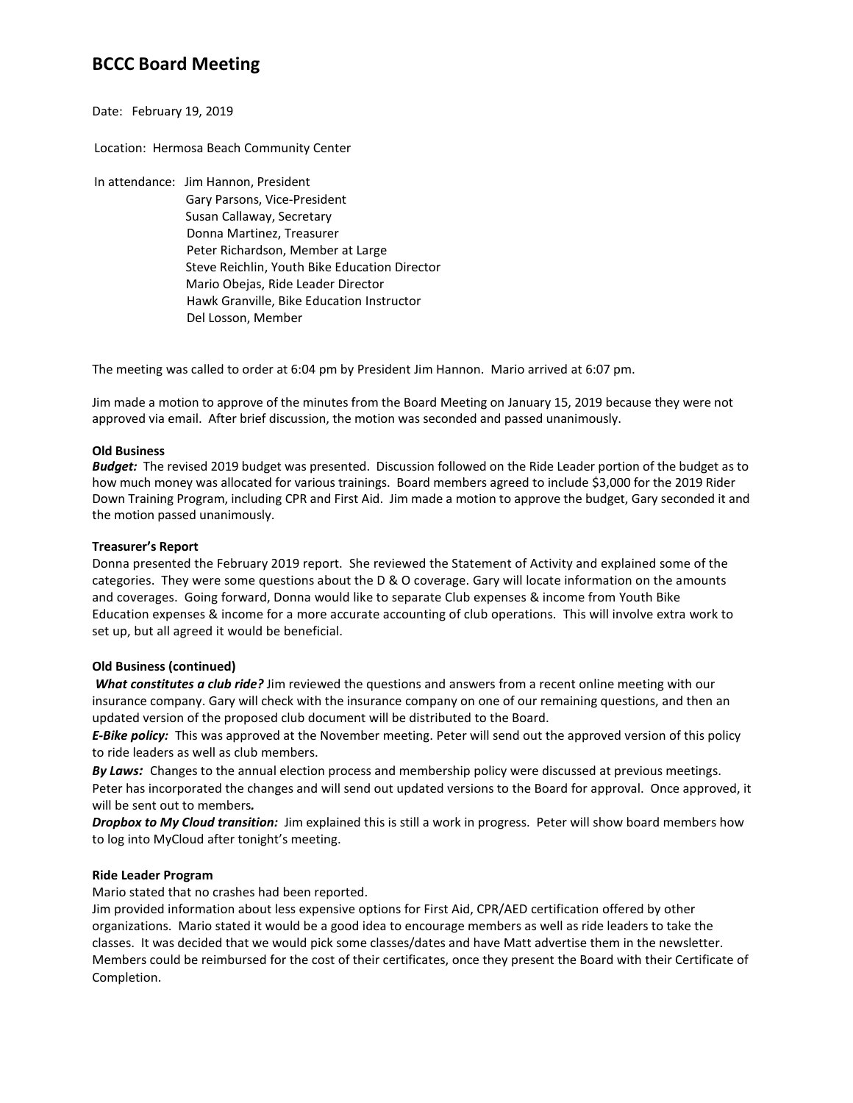# **BCCC Board Meeting**

# Date: February 19, 2019

Location: Hermosa Beach Community Center

- In attendance: Jim Hannon, President
	- Gary Parsons, Vice-President Susan Callaway, Secretary Donna Martinez, Treasurer Peter Richardson, Member at Large Steve Reichlin, Youth Bike Education Director Mario Obejas, Ride Leader Director Hawk Granville, Bike Education Instructor Del Losson, Member

The meeting was called to order at 6:04 pm by President Jim Hannon. Mario arrived at 6:07 pm.

Jim made a motion to approve of the minutes from the Board Meeting on January 15, 2019 because they were not approved via email. After brief discussion, the motion was seconded and passed unanimously.

## **Old Business**

*Budget:* The revised 2019 budget was presented. Discussion followed on the Ride Leader portion of the budget as to how much money was allocated for various trainings. Board members agreed to include \$3,000 for the 2019 Rider Down Training Program, including CPR and First Aid. Jim made a motion to approve the budget, Gary seconded it and the motion passed unanimously.

## **Treasurer's Report**

Donna presented the February 2019 report. She reviewed the Statement of Activity and explained some of the categories. They were some questions about the D & O coverage. Gary will locate information on the amounts and coverages. Going forward, Donna would like to separate Club expenses & income from Youth Bike Education expenses & income for a more accurate accounting of club operations. This will involve extra work to set up, but all agreed it would be beneficial.

## **Old Business (continued)**

*What constitutes a club ride?* Jim reviewed the questions and answers from a recent online meeting with our insurance company. Gary will check with the insurance company on one of our remaining questions, and then an updated version of the proposed club document will be distributed to the Board.

*E-Bike policy:* This was approved at the November meeting. Peter will send out the approved version of this policy to ride leaders as well as club members.

*By Laws:* Changes to the annual election process and membership policy were discussed at previous meetings. Peter has incorporated the changes and will send out updated versions to the Board for approval. Once approved, it will be sent out to members*.*

*Dropbox to My Cloud transition:* Jim explained this is still a work in progress. Peter will show board members how to log into MyCloud after tonight's meeting.

## **Ride Leader Program**

Mario stated that no crashes had been reported.

Jim provided information about less expensive options for First Aid, CPR/AED certification offered by other organizations. Mario stated it would be a good idea to encourage members as well as ride leaders to take the classes. It was decided that we would pick some classes/dates and have Matt advertise them in the newsletter. Members could be reimbursed for the cost of their certificates, once they present the Board with their Certificate of Completion.